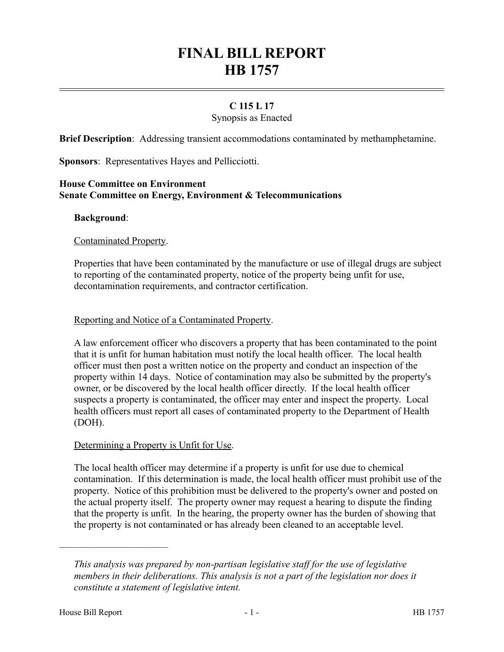# **FINAL BILL REPORT HB 1757**

# **C 115 L 17**

# Synopsis as Enacted

**Brief Description**: Addressing transient accommodations contaminated by methamphetamine.

**Sponsors**: Representatives Hayes and Pellicciotti.

#### **House Committee on Environment Senate Committee on Energy, Environment & Telecommunications**

#### **Background**:

#### Contaminated Property.

Properties that have been contaminated by the manufacture or use of illegal drugs are subject to reporting of the contaminated property, notice of the property being unfit for use, decontamination requirements, and contractor certification.

#### Reporting and Notice of a Contaminated Property.

A law enforcement officer who discovers a property that has been contaminated to the point that it is unfit for human habitation must notify the local health officer. The local health officer must then post a written notice on the property and conduct an inspection of the property within 14 days. Notice of contamination may also be submitted by the property's owner, or be discovered by the local health officer directly. If the local health officer suspects a property is contaminated, the officer may enter and inspect the property. Local health officers must report all cases of contaminated property to the Department of Health (DOH).

#### Determining a Property is Unfit for Use.

The local health officer may determine if a property is unfit for use due to chemical contamination. If this determination is made, the local health officer must prohibit use of the property. Notice of this prohibition must be delivered to the property's owner and posted on the actual property itself. The property owner may request a hearing to dispute the finding that the property is unfit. In the hearing, the property owner has the burden of showing that the property is not contaminated or has already been cleaned to an acceptable level.

––––––––––––––––––––––

*This analysis was prepared by non-partisan legislative staff for the use of legislative members in their deliberations. This analysis is not a part of the legislation nor does it constitute a statement of legislative intent.*